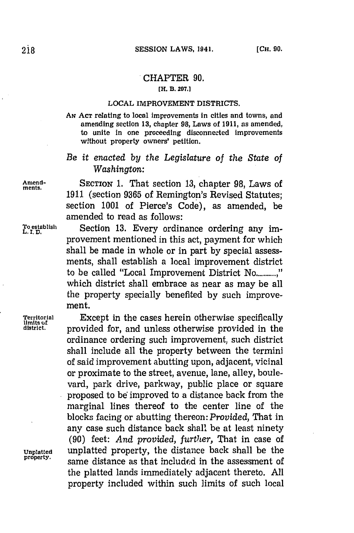## CHAPTER **90.**

## **[H. B. 297.]**

## **LOCAL** IMPROVEMENT DISTRICTS.

**AN ACT** relating to local improvements In cities and towns, and amending section **13,** chapter **98,** Laws of **1911,** as amended, to unite in one proceeding disconnected improvements without property owners' petition.

## *Be it enacted by the Legislature of the State of Washington:*

**Amnd-** SECTION **1.** That section **13,** chapter **98,** Laws of **1911** (section **9365** of Remington's Revised Statutes; section **1001** of Pierce's Code), as amended, be amended to read as follows:

**To establish** Section **13.** Every ordinance ordering any im- **L. I, D.** provement mentioned in this act, payment for which shall be made in whole or in part **by** special assessments, shall establish a local improvement district to be called "Local Improvement District No............." which district shall embrace as near as may be all the property specially benefited **by** such improvement.

**Territorial** Except in the cases herein otherwise specifically district. provided for, and unless otherwise provided in the ordinance ordering such improvement, such district shall include all the property between the termini of said improvement abutting upon, adjacent, vicinal or proximate to the street, avenue, lane, alley, boulevard, park drive, parkway, public place or square proposed to be improved to a distance back from the marginal lines thereof to the center line of the blocks facing or abutting thereon: *Provided,* That in any case such distance back shall be at least ninety **(90)** feet: *And provided, further,* That in case of **Unplatted** unplatted property, the distance back shall be the same distance as that included in the assessment of the platted lands immediately adjacent thereto. **All** property included within such limits of such local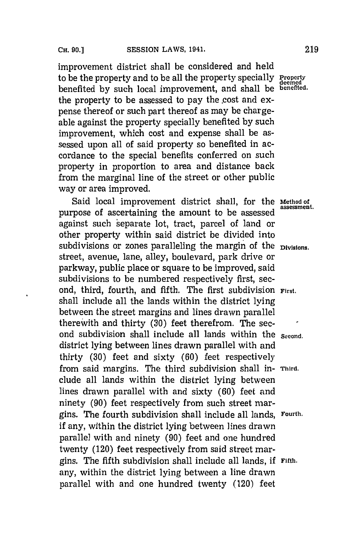improvement district shall be considered and held to be the property and to be all the property specially **Property** benefited **by** such local improvement, and shall be **benefited.** the property to be assessed to pay the cost and expense thereof or such part thereof as may be chargeable against the property specially benefited **by** such improvement, which cost and expense shall be assessed upon all of said property so benefited in accordance to the special benefits conferred on such property in proportion to area and distance back from the marginal line of the street or other public way or area improved.

Said local improvement district shall, for the **Method of** assessment. purpose of ascertaining the amount to be assessed against such separate lot, tract, parcel of land or other property within said district be divided into subdivisions or zones paralleling the margin of the **Divisions**. street, avenue, lane, alley, boulevard, park drive or parkway, public place or square to be improved, said subdivisions to be numbered respectively first, second, third, fourth, and fifth. The first subdivision **First.** shall include all the lands within the district lying between the street margins and lines drawn parallel there with and thirty **(30)** feet therefrom. The second subdivision shall include all lands within the **Second**. district lying between lines drawn parallel with and thirty **(30)** feet and sixty **(60)** feet respectively from said margins. The third subdivision shall in- **Third.** clude all lands within the district lying between lines drawn parallel with and sixty **(60)** feet and ninety **(90)** feet respectively from such street margins. The fourth subdivision shall include all lands, Fourth. if any, within the district lying between lines drawn parallel with and ninety **(90)** feet and one hundred twenty (120) feet respectively from said street margins. The fifth subdivision shall include all lands, **if Fifth.** any, within the district lying between a line drawn parallel with and one hundred twenty (120) feet